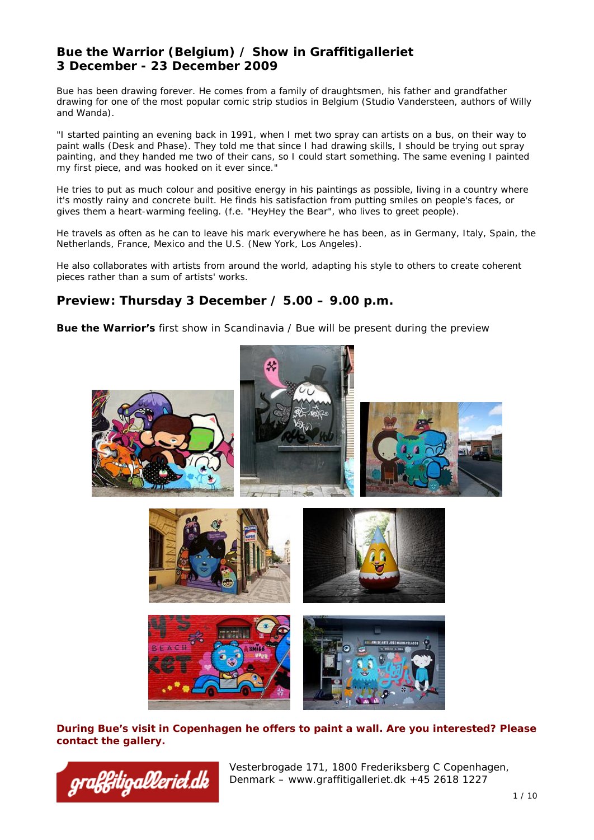## *Bue the Warrior (Belgium) / Show in Graffitigalleriet 3 December - 23 December 2009*

Bue has been drawing forever. He comes from a family of draughtsmen, his father and grandfather drawing for one of the most popular comic strip studios in Belgium (Studio Vandersteen, authors of Willy and Wanda).

"I started painting an evening back in 1991, when I met two spray can artists on a bus, on their way to paint walls (Desk and Phase). They told me that since I had drawing skills, I should be trying out spray painting, and they handed me two of their cans, so I could start something. The same evening I painted my first piece, and was hooked on it ever since."

He tries to put as much colour and positive energy in his paintings as possible, living in a country where it's mostly rainy and concrete built. He finds his satisfaction from putting smiles on people's faces, or gives them a heart-warming feeling. (f.e. "HeyHey the Bear", who lives to greet people).

He travels as often as he can to leave his mark everywhere he has been, as in Germany, Italy, Spain, the Netherlands, France, Mexico and the U.S. (New York, Los Angeles).

He also collaborates with artists from around the world, adapting his style to others to create coherent pieces rather than a sum of artists' works.

## *Preview: Thursday 3 December / 5.00 – 9.00 p.m.*

**Bue the Warrior's** first show in Scandinavia / Bue will be present during the preview



**During Bue's visit in Copenhagen he offers to paint a wall. Are you interested? Please contact the gallery.**



Vesterbrogade 171, 1800 Frederiksberg C Copenhagen, Denmark – www.graffitigalleriet.dk +45 2618 1227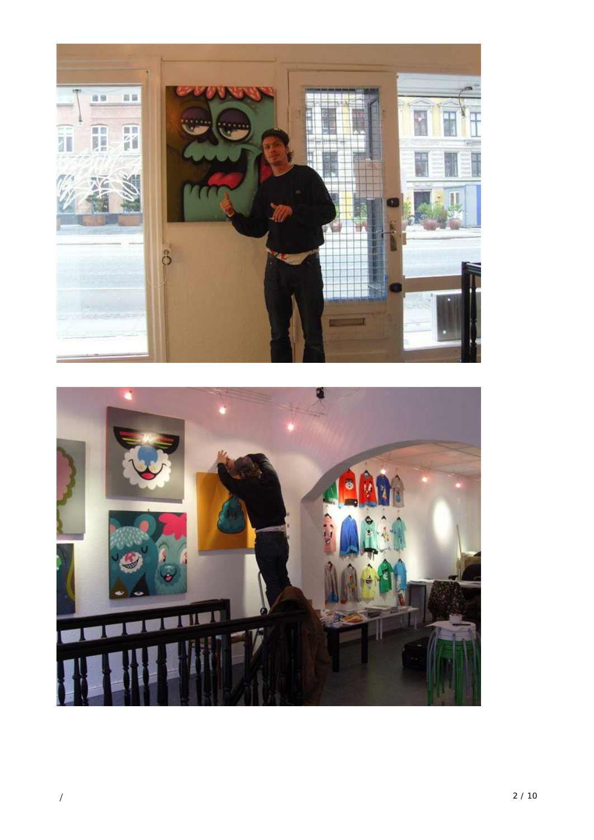

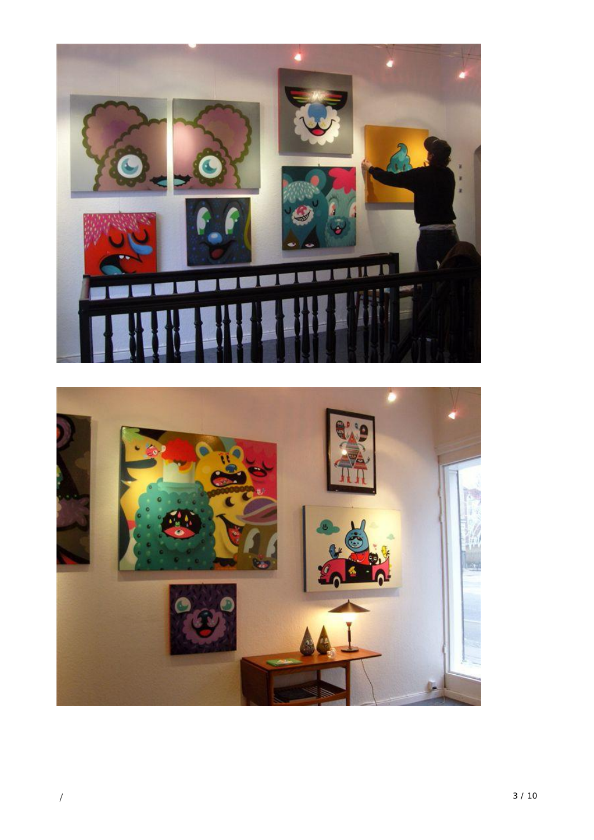

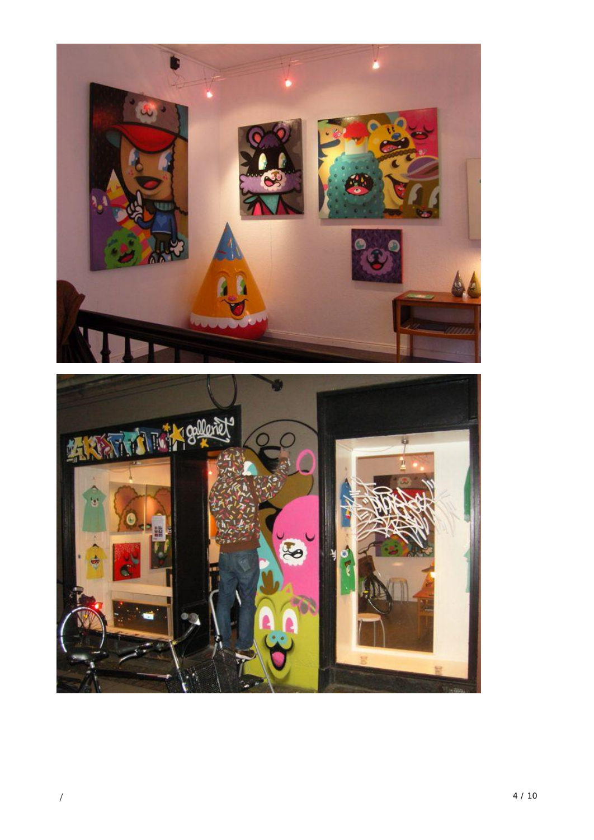

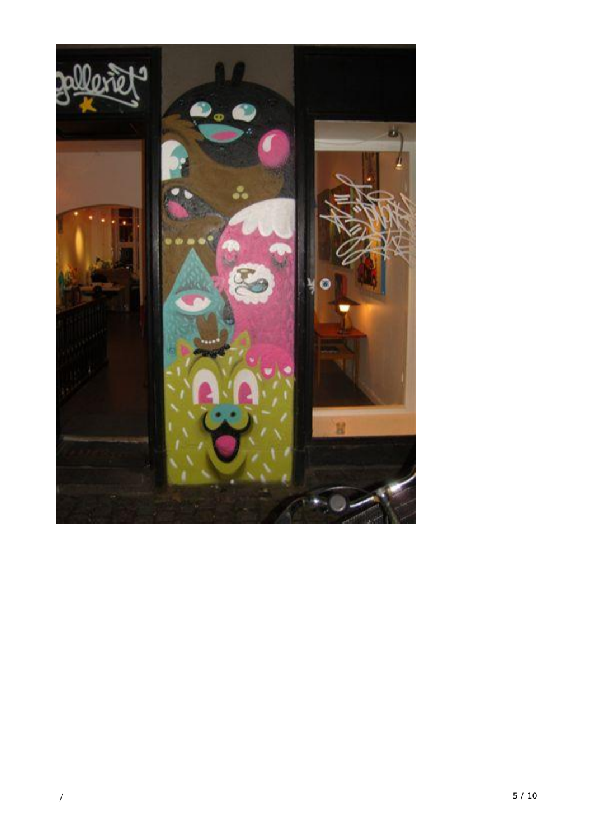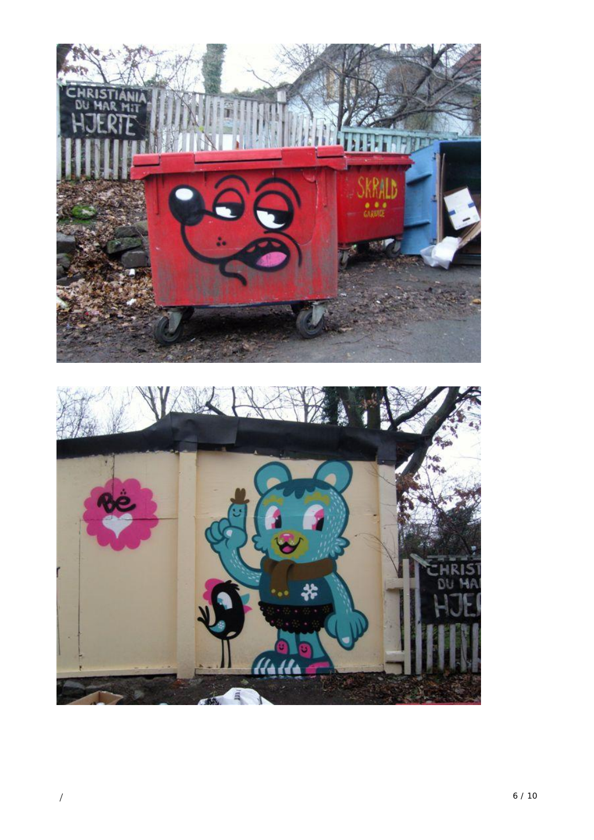

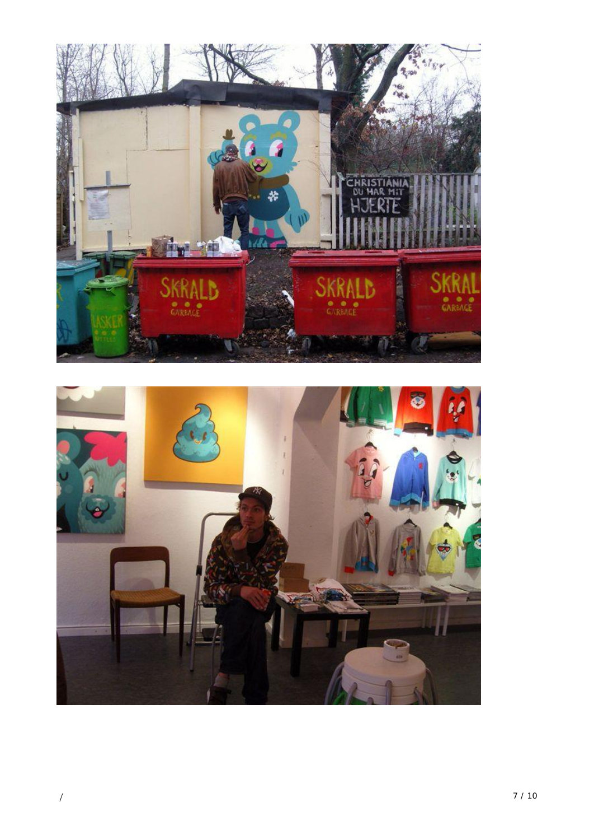

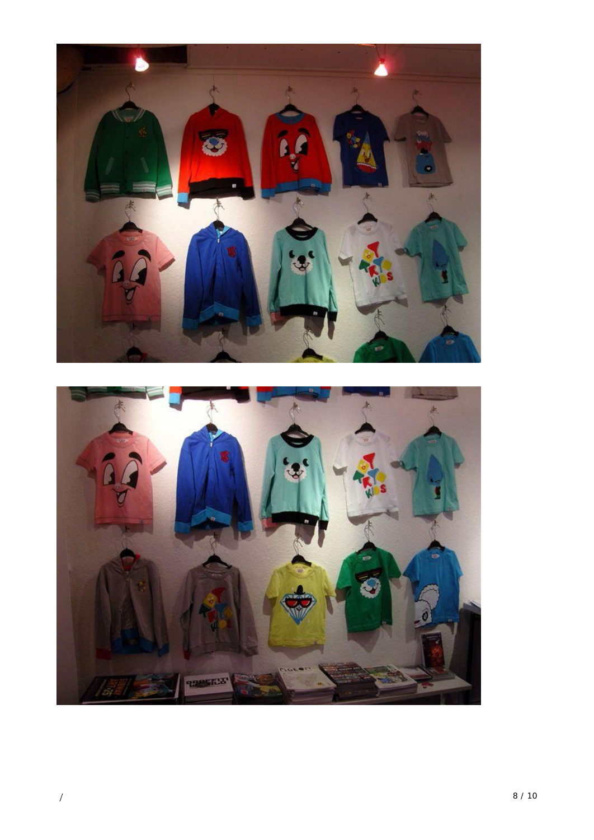

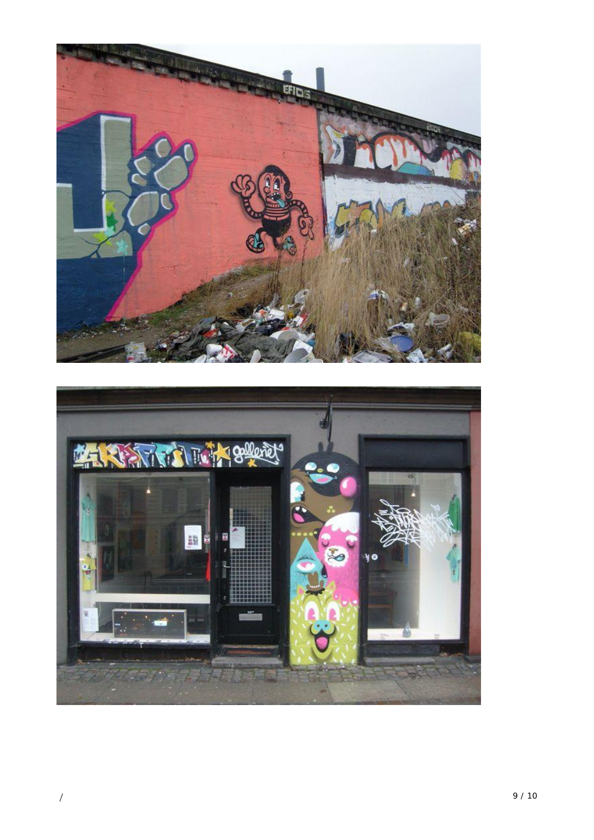